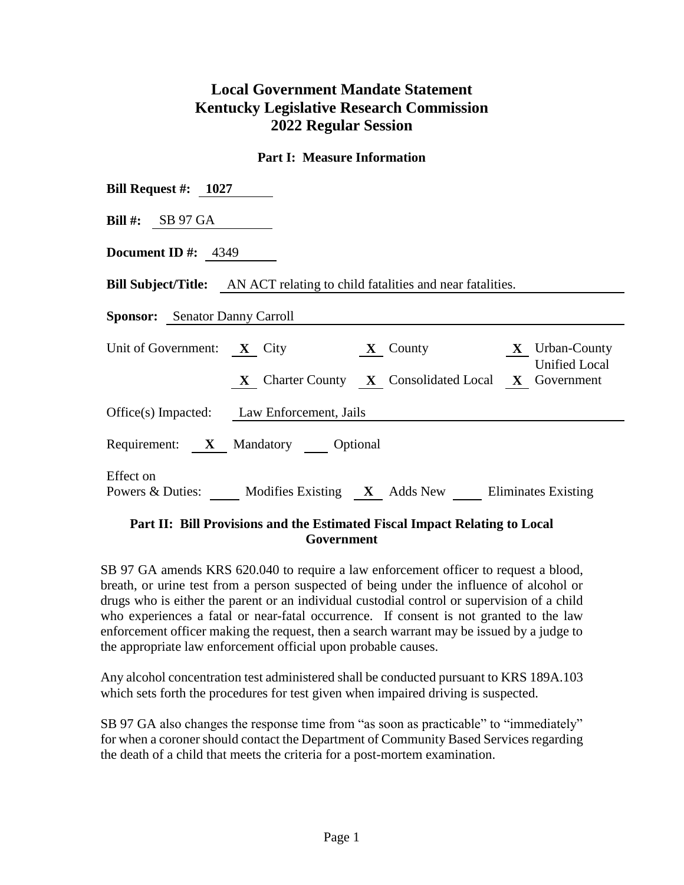# **Local Government Mandate Statement Kentucky Legislative Research Commission 2022 Regular Session**

#### **Part I: Measure Information**

| Bill Request #: $1027$                                                                                                                              |  |  |  |  |
|-----------------------------------------------------------------------------------------------------------------------------------------------------|--|--|--|--|
| Bill #: $SB 97 GA$                                                                                                                                  |  |  |  |  |
| <b>Document ID</b> #: $4349$                                                                                                                        |  |  |  |  |
| <b>Bill Subject/Title:</b> AN ACT relating to child fatalities and near fatalities.                                                                 |  |  |  |  |
| <b>Sponsor:</b> Senator Danny Carroll                                                                                                               |  |  |  |  |
| Unit of Government: $X$ City<br>X Urban-County<br>$\mathbf{X}$ County<br><b>Unified Local</b><br>X Charter County X Consolidated Local X Government |  |  |  |  |
| Office(s) Impacted: Law Enforcement, Jails                                                                                                          |  |  |  |  |
| Requirement: X Mandatory Optional                                                                                                                   |  |  |  |  |
| Effect on<br>Powers & Duties: Modifies Existing X Adds New Eliminates Existing                                                                      |  |  |  |  |

### **Part II: Bill Provisions and the Estimated Fiscal Impact Relating to Local Government**

SB 97 GA amends KRS 620.040 to require a law enforcement officer to request a blood, breath, or urine test from a person suspected of being under the influence of alcohol or drugs who is either the parent or an individual custodial control or supervision of a child who experiences a fatal or near-fatal occurrence. If consent is not granted to the law enforcement officer making the request, then a search warrant may be issued by a judge to the appropriate law enforcement official upon probable causes.

Any alcohol concentration test administered shall be conducted pursuant to KRS 189A.103 which sets forth the procedures for test given when impaired driving is suspected.

SB 97 GA also changes the response time from "as soon as practicable" to "immediately" for when a coroner should contact the Department of Community Based Services regarding the death of a child that meets the criteria for a post-mortem examination.